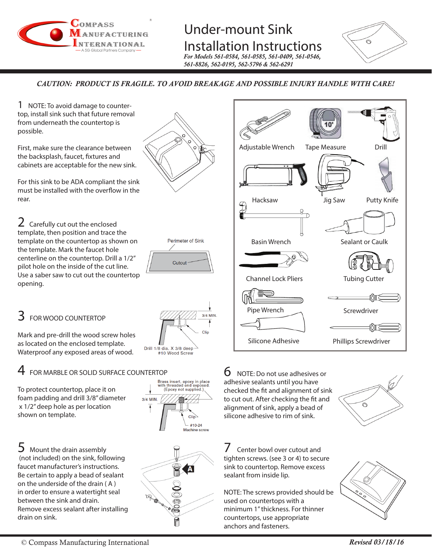

### Under-mount Sink Installation Instructions

*For Models 561-0584, 561-0585, 561-0409, 561-0546, 561-8826, 562-0195, 562-5796 & 562-6291*



*CAUTION: PRODUCT IS FRAGILE. TO AVOID BREAKAGE AND POSSIBLE INJURY HANDLE WITH CARE!*

1 NOTE: To avoid damage to countertop, install sink such that future removal from underneath the countertop is possible.

First, make sure the clearance between the backsplash, faucet, fixtures and cabinets are acceptable for the new sink.

For this sink to be ADA compliant the sink must be installed with the overflow in the rear.

2 Carefully cut out the enclosed template, then position and trace the template on the countertop as shown on the template. Mark the faucet hole centerline on the countertop. Drill a 1/2" pilot hole on the inside of the cut line. Use a saber saw to cut out the countertop opening.

## $3$  FOR WOOD COUNTERTOP

Mark and pre-drill the wood screw holes as located on the enclosed template. Waterproof any exposed areas of wood.

# FOR MARBLE OR SOLID SURFACE COUNTERTOP<br>Brass insert, epoxy in place<br>orotect countertop, place it on

To protect countertop, place it on foam padding and drill 3/8" diameter x 1/2" deep hole as per location shown on template.

5 Mount the drain assembly (not included) on the sink, following faucet manufacturer's instructions. Be certain to apply a bead of sealant on the underside of the drain ( A ) in order to ensure a watertight seal between the sink and drain. Remove excess sealant after installing drain on sink.













 $6$  NOTE: Do not use adhesives or adhesive sealants until you have checked the fit and alignment of sink to cut out. After checking the fit and alignment of sink, apply a bead of silicone adhesive to rim of sink.

Center bowl over cutout and tighten screws. (see 3 or 4) to secure sink to countertop. Remove excess

sealant from inside lip.

used on countertops with a minimum 1" thickness. For thinner countertops, use appropriate anchors and fasteners.